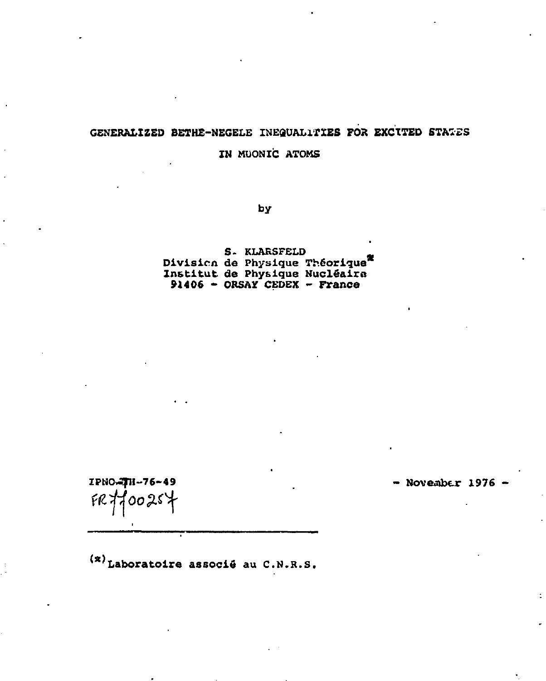## GENERALIZED BETHE-NEGELE INEQUALITIES FOR EXCITED STATES IN MUONIC ATOMS

by

S. KLARSFELD Division de Physique Théorique Institut de Physique Nucléaire **91406** - ORSAY CEDEX - France

*wHt* 

 $IPNO-TH-76-49$  - November 1976 -

 $(x)$ Laboratoire associé au C.N.R.S.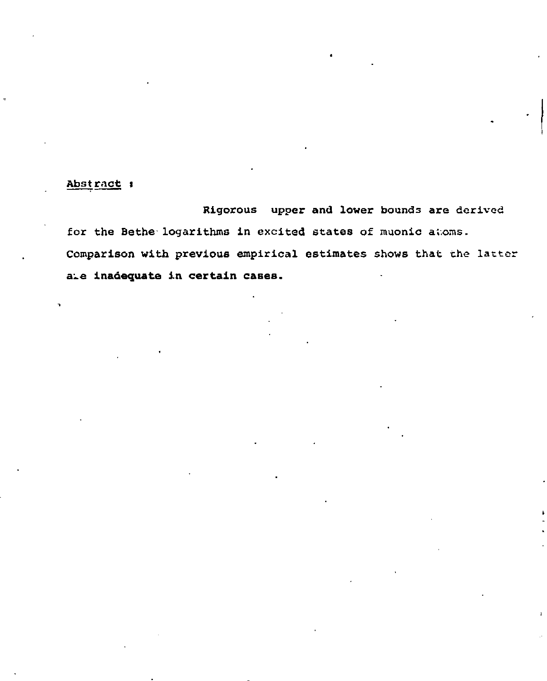## Abstract :

Rigorous upper and lower bounds are derived for the Bethe logarithms in excited states of muonic atoms. Comparison with previous empirical estimates shows that the latter a-e **inadequate in certain cases.**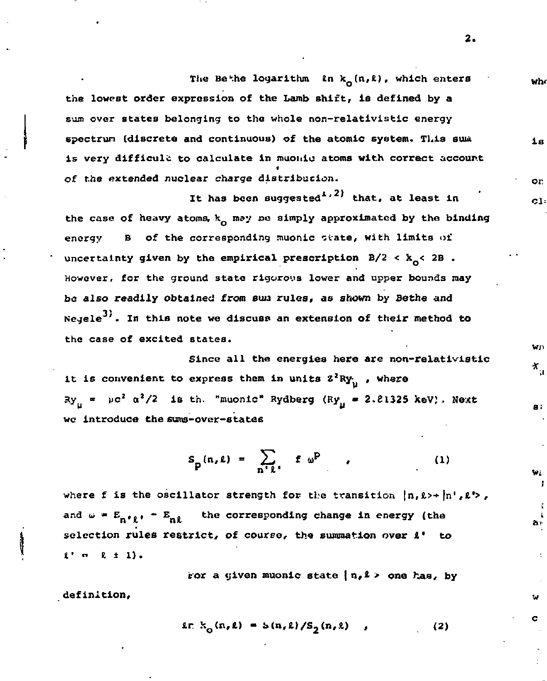The Be<sup>the</sup> logarithm *In* k<sub>o</sub>(n,*l*), which enters  $w<sub>h</sub>$ **the lowest order expression of the Lamb shift, is defined by a sum over states belonging to the whole non-relativistic energy spectrum (discrete and continuous) of the atomic system. This auui**  iв **is very difficult to calculate in muonlc atoms with correct accourt of the extended nuclear charge distribution.**  or.

**It has been suggested1' that, at least in**  the case of heavy atoms, k<sub>o</sub> may be simply approximated by the binding energy B of the corresponding muonic state, with limits of **uncertainty given by the empirical prescription B/2 < k < 2B . However, for the ground 3tate rigorous lower and upper bounds may be also readily obtained from suis rules, as shown by Bethe and Negele • In this note we discuss an extension of their method to the case of excited states.** 

Since all the energies here are non-relativistic it is convenient to express them in units  $Z^2RY_{11}$ , where  $xy_{\mu}$  =  $\mu c^2$   $\alpha^2/2$  is th. "muonic" Rydberg (Ry<sub>11</sub> = 2.21325 keV). Next **wc Introduce the 6ums-over-states** 

$$
S_p(n,\ell) = \sum_{n' \ell'} f \omega^p \qquad (1)
$$

where f is the oscillator strength for the transition  $\{n, \ell \rightarrow \{n\}$ ,  $\ell \rightarrow$ , **and**  $\omega$  **\***  $E_{n+1}$  **·**  $E_{n}$  the corresponding change in energy (the **selection rules restrict, of course, the summation over** *I'* **to**  \*• " *i ±* 1).

**tor a given muonic state | n,\* > one has, by definition,** 

$$
i \in k_{0}(n,k) = S(n,k)/S_{0}(n,k) , \qquad (2)
$$

**2.** 

cl:

Wn X.,

**a** :

t.

ă۴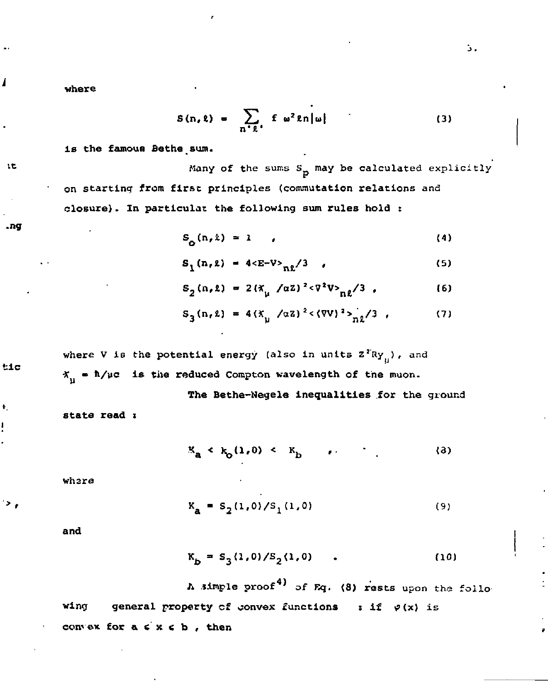where

$$
S(n, \ell) = \sum_{n' \ell'} f \omega^2 \ell n |\omega| \qquad (3)
$$

is the famous Bethe sum.

 $15$ 

1

Many of the sums S<sub>p</sub> may be calculated explicitly on starting from first principles (commutation relations and closure). In particulat the following sum rules hold :

$$
S_{\mathbf{O}}(n,\lambda) = 1 \qquad (4)
$$

$$
S_1(n, \ell) = 4 \langle E - V \rangle_{n\ell} / 3 \qquad (5)
$$

$$
S_2(n, \ell) = 2(\tilde{\pi}_{\mu} / \alpha \tilde{z})^2 < \nabla^2 V_{n\ell} / 3
$$
 (6)

$$
S_3(n, \ell) = 4(X_{\mu}/\alpha z)^2 < (8V)^2 > \frac{1}{n\ell}/3
$$
 (7)

**where V is the potential energy (also in units Z! Ry ) , and**   $X_{\mu}$  =  $\hbar/\mu c$  is the reduced Compton wavelength of the muon.

**The Bethe-Negele inequalities for the ground state read** *i* 

 $K_{a} \leftarrow k_{0}(1,0) \leftarrow K_{b}$  ,  $(3)$ 

**whare** 

$$
X_{\mathbf{a}} = S_2(1,0)/S_1(1,0) \tag{9}
$$

and

$$
K_{b} = S_{3}(1,0)/S_{2}(1,0) \tag{10}
$$

A simple proof<sup>4)</sup> of Eq. (8) rests upon the following **General property of convex functions : if**  $\varphi(x)$  **is window for a**  $\leq$  **<b>x**  $\leq$  **b**, then

..ng

 $t1c$ 

ŧ

 $^\prime$   $>$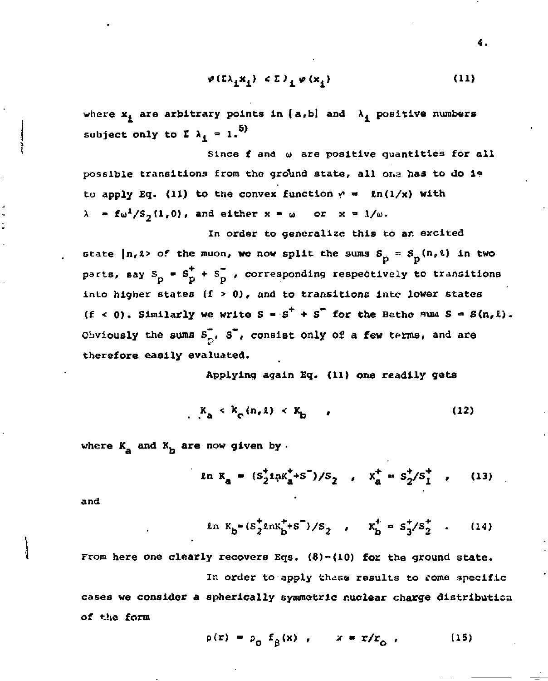$$
\varphi(\Sigma\lambda_1\mathbf{x}_1) \leqslant \Sigma\lambda_1 \varphi(\mathbf{x}_1) \tag{11}
$$

where  $x_i$  are arbitrary points in  $\{a, b\}$  and  $\lambda_i$  positive numbers subject only to  $\mathbf{I} \lambda_1 = 1$ .<sup>5)</sup>

**Since £ and u are positive quantities for all possible transitions from the gro\*und state, all 01.3 has to do 1?**  to apply Eq. (11) to the convex function  $r = \ln(1/x)$  with  $\lambda = f\omega^2/S_2(1,0)$ , and either  $x = \omega$  or  $x = 1/\omega$ .

**In order to generalize this to ar. excited**  state  $|n, l \rangle$  of the muon, we now split the sums  $S_p = S_p(n, l)$  in two parts, say  $S_p = S_p^+ + S_p^-$ , corresponding respectively to transitions **into higher states (f** *>* **0), and to transitions Into lower states**  (f < 0). Similarly we write  $S = S^+ + S^-$  for the Betho sum  $S = S(n, k)$ . Obviously the sums  $S_{\text{D}}^{\dagger}$ ,  $S^{\dagger}$ , consist only of a few terms, and are **therefore easily evaluated.** 

**Applying again Eq. (11) one readily gets** 

$$
K_{\mathbf{a}} \leftarrow K_{\mathbf{c}} \left( n, \ell \right) \leftarrow K_{\mathbf{b}} \tag{12}
$$

where  $K_a$  and  $K_b$  are now given by .

$$
\ln K_a = (S_2^{\dagger} \ln K_a^{\dagger} + S^{\dagger})/S_2, \quad X_a^{\dagger} = S_2^{\dagger}/S_1^{\dagger}, \quad (13)
$$

**and** 

$$
\ln K_b = (s_2^* \ln K_b^+ + s^-)/s_2 \quad , \quad K_b^+ = s_3^*/s_2^* \quad . \tag{14}
$$

**From here one clearly recovers Eqs. (S)-(10) for the ground state.**  In order to apply thase results to rome specific **cases we consider** *a* **spherically symmetric nuclear charge distribution of the form** 

 $p(r) = p_0 f_8(x)$ ,  $x = r/r_0$ , (15)

**4 .**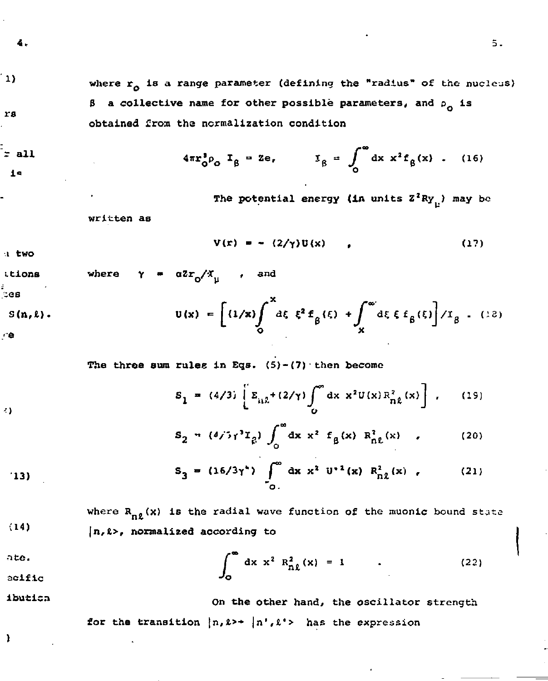$\mathbf{u}$ 

rs

 $=$  all  $1<sub>a</sub>$ 

where  $r_0$  is a range parameter (defining the "radius" of the nucleus) B a collective name for other possible parameters, and p<sub>o</sub> is obtained from the normalization condition

$$
4\pi r_0^3 \rho_0 \ I_g = 2e, \qquad I_g = \int_0^\infty dx \ x^2 f_g(x) \ . \quad (16)
$$

The potential energy (in units  $Z^2Ry_{n}$ ) may be

written as

$$
V(r) = - (2/\gamma)U(x) \qquad (17)
$$

a two

41

$$
\begin{array}{lll}\n\text{times} & \text{where} & \gamma = a^2 r_0 / x_{\mu} \quad \text{and} \\
\text{cos} & \\
\text{s(n,1)} & \\
\text{cos} & \\
\text{cos} & \\
\text{cos} & \\
\text{cos} & \\
\text{cos} & \\
\text{cos} & \\
\text{cos} & \\
\text{cos} & \\
\text{cos} & \\
\text{cos} & \\
\text{cos} & \\
\text{cos} & \\
\text{cos} & \\
\text{cos} & \\
\text{cos} & \\
\text{cos} & \\
\text{cos} & \\
\text{cos} & \\
\text{cos} & \\
\text{cos} & \\
\text{cos} & \\
\text{cos} & \\
\text{cos} & \\
\text{cos} & \\
\text{cos} & \\
\text{cos} & \\
\text{cos} & \\
\text{cos} & \\
\text{cos} & \\
\text{cos} & \\
\text{cos} & \\
\text{cos} & \\
\text{cos} & \\
\text{cos} & \\
\text{cos} & \\
\text{cos} & \\
\text{cos} & \\
\text{cos} & \\
\text{cos} & \\
\text{cos} & \\
\text{cos} & \\
\text{cos} & \\
\text{cos} & \\
\text{cos} & \\
\text{cos} & \\
\text{cos} & \\
\text{cos} & \\
\text{cos} & \\
\text{cos} & \\
\text{cos} & \\
\text{cos} & \\
\text{cos} & \\
\text{cos} & \\
\text{cos} & \\
\text{cos} & \\
\text{cos} & \\
\text{cos} & \\
\text{cos} & \\
\text{cos} & \\
\text{cos} & \\
\text{cos} & \\
\text{cos} & \\
\text{cos} & \\
\text{cos} & \\
\text{cos} & \\
\text{cos} & \\
\text{cos} & \\
\text{cos} & \\
\text{cos} & \\
\text{cos} & \\
\text{cos} & \\
\text{cos} & \\
\text{cos} & \\
\text{cos} & \\
\text{cos} & \\
\text{cos} & \\
\text{cos} &
$$

The three sum rules in Eqs.  $(5)-(7)$  then become

$$
S_1 = (4/3) \left[ E_{\mu \lambda} + (2/\gamma) \int_0^{\infty} dx \ x^2 U(x) R_{n\lambda}^2(x) \right], \quad (19)
$$

$$
S_2 = (\delta / \gamma^3 \gamma^3 \chi_g) \int_0^\infty dx \; x^2 \; f_g(x) \; R_{0L}^2(x) \quad , \tag{20}
$$

$$
S_3 = (16/3\gamma^*) \int_{0}^{\infty} dx x^2 U^{-1}(x) R_{n\ell}^2(x) , \qquad (21)
$$

where  $R_{n\ell}(x)$  is the radial wave function of the muonic bound state  $(14)$  $|n, \ell\rangle$ , normalized according to

ate. 
$$
\int_0^\infty dx x^2 R_{n\ell}^2(x) = 1
$$
 (22)

ibutica

On the other hand, the oscillator strength for the transition  $\{n, k \rightarrow \{n', k'\} \}$  has the expression

ı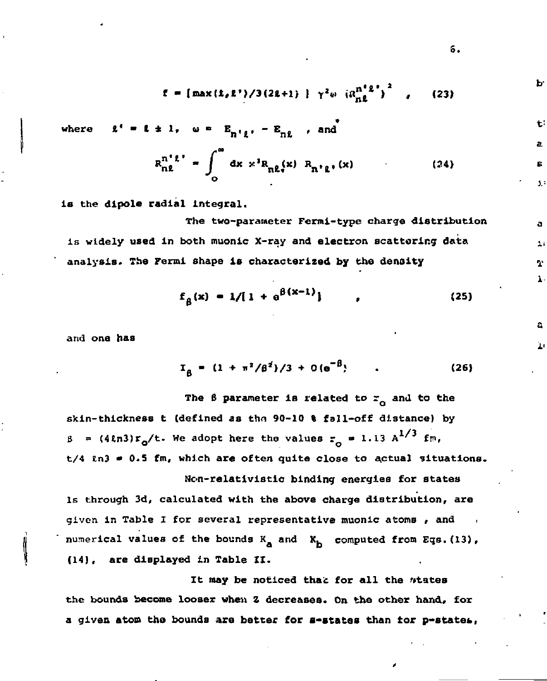$$
f = \left[\max\left(\frac{1}{k} \cdot \frac{1}{k}\right) / 3\left(\frac{2k+1}{k}\right)\right] + \gamma^2 \omega \left(\frac{n^2 \cdot 1}{n \cdot k}\right)^2, \qquad (23)
$$

where 
$$
t' = t + 1
$$
,  $u = E_{n'1}$ ,  $-E_{n2}$ , and

$$
R_{n\ell}^{n^{\ell}\ell} = \int_{0}^{\infty} dx x^{3} R_{n\ell}(x) R_{n^{\ell}\ell}(x)
$$
 (24)

**is the dlpole radial integral.** 

**The two-parameter Fermi-type charge distribution is widely used in both muonic X-ray and electron scattering data analysis. The Fermi shape is characterized by the density** 

$$
f_{\beta}(x) = 1/[1 + e^{\beta(x-1)}], \qquad (25)
$$

**and one has** 

$$
I_{\beta} = (1 + \pi^2/\beta^2)/3 + O(e^{-\beta})
$$
 (26)

The  $\beta$  parameter is related to  $r_a$  and to the skin-thickness t (defined as the 90-10 % fall-off distance) by  $\beta$  =  $(4\ln 3)r_o/t$ . We adopt here the values  $r_o$  = 1.13 A<sup>27</sup> fm, **t/4 in3 • 0.S fm, which are often quite close to actual situations.** 

**Hon-relativistic binding energies for states Is through 3d, calculated with the above charge distribution, are given in Table I for several representative muonic atoms , and . numerical values of the bounds K<sub>a</sub> and K<sub>b</sub> computed from Eqs. (13), (14), are displayed in Table II.** 

It may be noticed that for all the *ntates* **the bounds become looser when Z decreases. On the other hand, for a given atom the bounds are better for s-states than tor p-statet,** 

б.

ь

ا جه

j.

A.  $\overline{1}$ J, ı.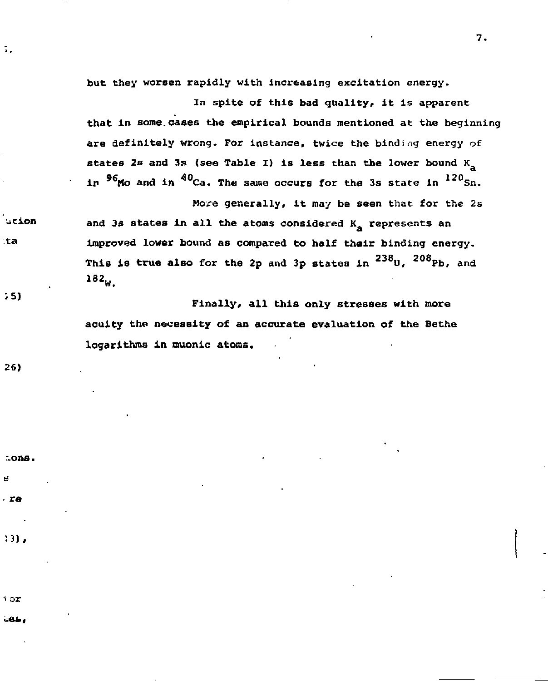**but they worsen rapidly with increasing excitation energy.** 

**In spite of this bad quality, it is apparent that in some.cases the empirical bounds mentioned at the beginning are definitely wrong. For instance, twice the binding energy of states 2s and 3s (see Table I) is less than the lower bound**  $K_a$ in <sup>96</sup>Mo and in <sup>40</sup>Ca. The same occurs for the 3s state in <sup>120</sup>Sn.

**Hore generally, it may be seen that for the 2s**  and 3s states in all the atoms considered K<sub>a</sub> represents an **Improved lower bound as compared to half their binding energy. This is true also for the 2p and 3p states in <sup>238</sup> 0 , <sup>2</sup> <sup>0</sup> Pb, and <sup>182</sup> W .** 

**Finally, all this only stresses with more acuity the necessity of an accurate evaluation of the Bethe**  logarithms in muonic atoms.

26)

 $55)$ 

ation :ta

ī,

 $.$ re

cons.

 $13$ .

 $1$  or

COL.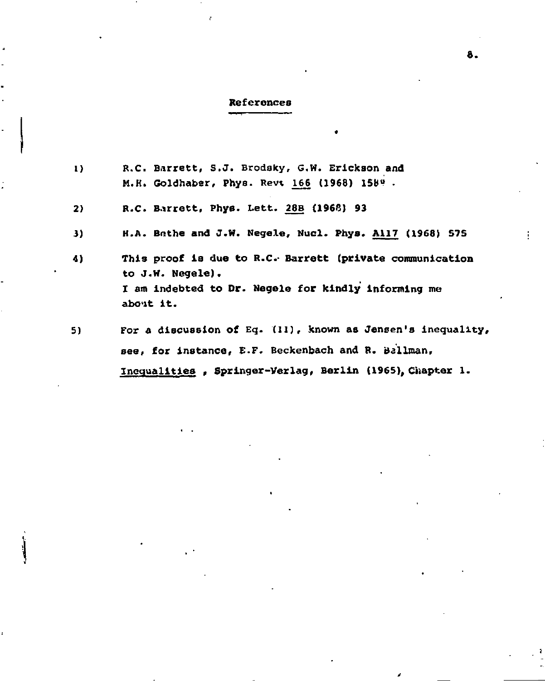## **References**

ł

| $\bf{D}$ | R.C. Barrett, S.J. Brodsky, G.W. Erickson and<br>M.H. Goldhaber, Phys. Revt 166 (1968) 1589.                                                     |
|----------|--------------------------------------------------------------------------------------------------------------------------------------------------|
| 2)       | R.C. Barrett, Phys. Lett. 28B (1966) 93                                                                                                          |
| 3)       | H.A. Bethe and J.W. Negele, Nucl. Phys. All7 (1968) 575                                                                                          |
| 4)       | This proof is due to R.C. Barrett (private communication<br>to J.W. Negele).<br>I am indebted to Dr. Negele for kindly informing me<br>about it. |
| 5)       | For a discussion of Eq. (11), known as Jensen's inequality,                                                                                      |
|          | see, for instance, E.F. Beckenbach and R. Ballman,                                                                                               |
|          | Inequalities, Springer-Verlag, Berlin (1965), Chapter 1.                                                                                         |

8.

ţ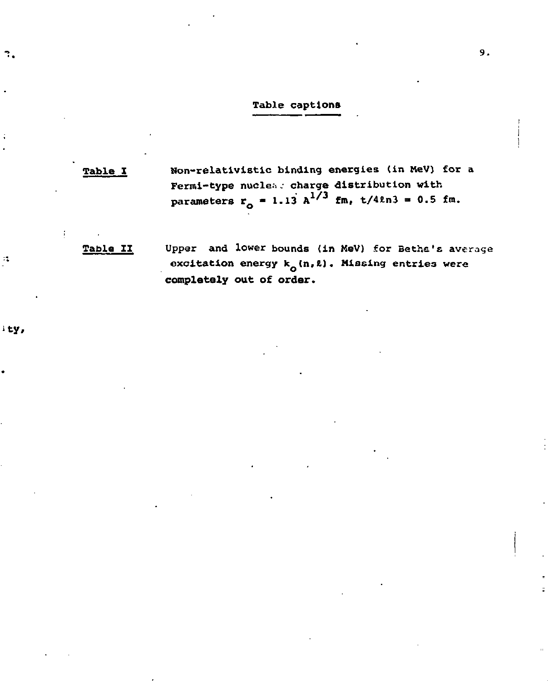## Table captions

Table I Non-relativlstic binding energies (in HeV) for a Fermi-type nuelea .• charge distribution with parameters r<sub>o</sub> = 1.13 A<sup>-, "</sup> fm, t/41n3 = 0.5 fm.

Table II Upper and lower bounds (in MeV) for Bethe's average excitation energy  $k_0(n, \ell)$ . Missing entries were **completely out** of **order.** 

ty,

 $\mathcal{A}$ 

 $\mathbf{r}_i$ 

 $\ddot{z}$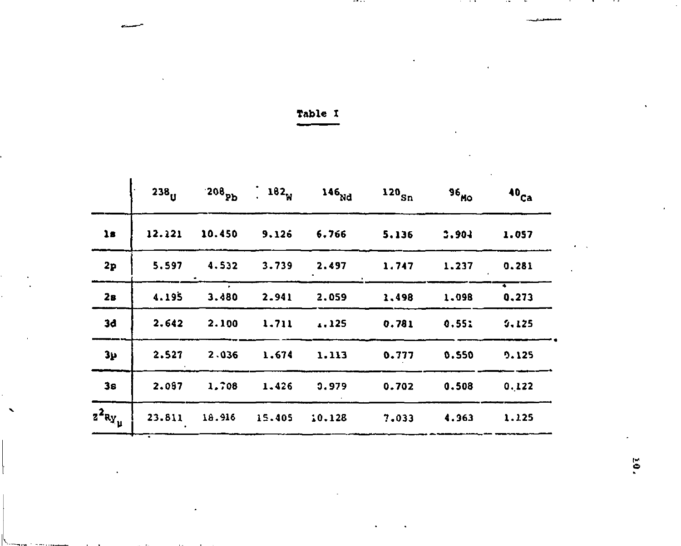| -able |  |
|-------|--|
|-------|--|

 $\sim 10^{-1}$ 

 $\mathcal{L}^{\mathcal{L}}$  and  $\mathcal{L}^{\mathcal{L}}$  and  $\mathcal{L}^{\mathcal{L}}$  and  $\mathcal{L}^{\mathcal{L}}$ 

**MAIN** 

. . .

 $\Delta \sim 10^{-1}$ 

 $\mathcal{F}_{\text{max}}$ 

and the second second

 $\mathcal{L}(\mathcal{L}^{\mathcal{L}})$  and  $\mathcal{L}(\mathcal{L}^{\mathcal{L}})$  . The contribution of  $\mathcal{L}^{\mathcal{L}}$ 

the contract of the contract of the

 $\sigma = 1$  $\epsilon$ 

 $\mathcal{L}$ 

|                   | $238_{11}$ | $208_{\text{Pb}}$ | $\cdot$ 182 $_{\rm w}$ | 146 <sub>Nd</sub> | $120_{Sn}$ | 96 <sub>Mo</sub> | 40 <sub>Ca</sub>                  |
|-------------------|------------|-------------------|------------------------|-------------------|------------|------------------|-----------------------------------|
| 1s                | 12.121     | 10.450            | 9.126                  | 6.766             | 5.136      | 3,904            | 1.057                             |
| 2p                | 5.597      | 4.532             | 3.739                  | 2.497             | 1.747      | 1.237            | 0.281                             |
| 28                | 4.195      | 3.480             | 2.941                  | 2.059             | 1,498      | 1.098            | $\overline{\phantom{a}}$<br>0,273 |
| 3d                | 2.642      | 2.100             | 1.711                  | 1.125             | 0.781      | 0.551            | 3,125                             |
| 31                | 2.527      | 2.036             | 1.674                  | 1.113             | 0.777      | 0.550            | 9.125                             |
| 3s                | 2.097      | 1,708             | 1.426                  | 3.979             | 0.702      | 0.508            | 0.122                             |
| $z^2$ ay $_{\mu}$ | 23.811     | 18.916            | 15.405                 | 10.128            | 7.033      | 4.363            | 1.125                             |
|                   |            |                   |                        |                   |            |                  |                                   |

 $\cdot$